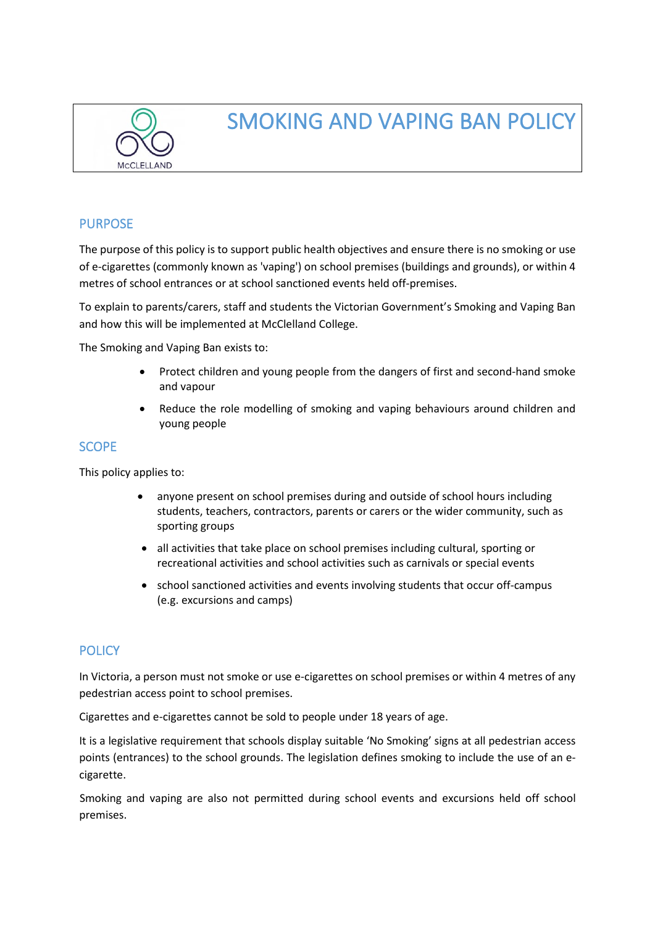

# SMOKING AND VAPING BAN POLICY

## PURPOSE

The purpose of this policy is to support public health objectives and ensure there is no smoking or use of e-cigarettes (commonly known as 'vaping') on school premises (buildings and grounds), or within 4 metres of school entrances or at school sanctioned events held off-premises.

To explain to parents/carers, staff and students the Victorian Government's Smoking and Vaping Ban and how this will be implemented at McClelland College.

The Smoking and Vaping Ban exists to:

- Protect children and young people from the dangers of first and second-hand smoke and vapour
- Reduce the role modelling of smoking and vaping behaviours around children and young people

## **SCOPE**

This policy applies to:

- anyone present on school premises during and outside of school hours including students, teachers, contractors, parents or carers or the wider community, such as sporting groups
- all activities that take place on school premises including cultural, sporting or recreational activities and school activities such as carnivals or special events
- school sanctioned activities and events involving students that occur off-campus (e.g. excursions and camps)

## **POLICY**

In Victoria, a person must not smoke or use e-cigarettes on school premises or within 4 metres of any pedestrian access point to school premises.

Cigarettes and e-cigarettes cannot be sold to people under 18 years of age.

It is a legislative requirement that schools display suitable 'No Smoking' signs at all pedestrian access points (entrances) to the school grounds. The legislation defines smoking to include the use of an ecigarette.

 Smoking and vaping are also not permitted during school events and excursions held off school premises.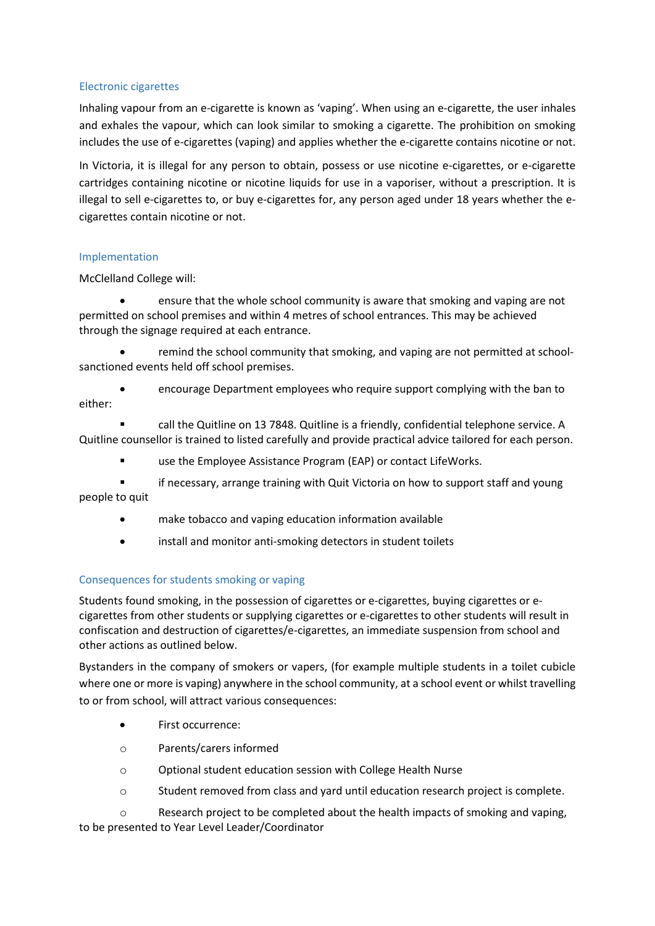### Electronic cigarettes

Inhaling vapour from an e-cigarette is known as 'vaping'. When using an e-cigarette, the user inhales and exhales the vapour, which can look similar to smoking a cigarette. The prohibition on smoking includes the use of e-cigarettes (vaping) and applies whether the e-cigarette contains nicotine or not.

In Victoria, it is illegal for any person to obtain, possess or use nicotine e-cigarettes, or e-cigarette cartridges containing nicotine or nicotine liquids for use in a vaporiser, without a prescription. It is illegal to sell e-cigarettes to, or buy e-cigarettes for, any person aged under 18 years whether the ecigarettes contain nicotine or not.

#### Implementation

McClelland College will:

ensure that the whole school community is aware that smoking and vaping are not permitted on school premises and within 4 metres of school entrances. This may be achieved through the signage required at each entrance.

• remind the school community that smoking, and vaping are not permitted at schoolsanctioned events held off school premises.

• encourage Department employees who require support complying with the ban to either:

 call the Quitline on 13 7848. Quitline is a friendly, confidential telephone service. A Quitline counsellor is trained to listed carefully and provide practical advice tailored for each person.

use the Employee Assistance Program (EAP) or contact LifeWorks.

 if necessary, arrange training with Quit Victoria on how to support staff and young people to quit

- make tobacco and vaping education information available
- install and monitor anti-smoking detectors in student toilets

## Consequences for students smoking or vaping

Students found smoking, in the possession of cigarettes or e-cigarettes, buying cigarettes or ecigarettes from other students or supplying cigarettes or e-cigarettes to other students will result in confiscation and destruction of cigarettes/e-cigarettes, an immediate suspension from school and other actions as outlined below.

Bystanders in the company of smokers or vapers, (for example multiple students in a toilet cubicle where one or more is vaping) anywhere in the school community, at a school event or whilst travelling to or from school, will attract various consequences:

- First occurrence:
- o Parents/carers informed
- o Optional student education session with College Health Nurse
- $\circ$  Student removed from class and vard until education research project is complete.

o Research project to be completed about the health impacts of smoking and vaping, to be presented to Year Level Leader/Coordinator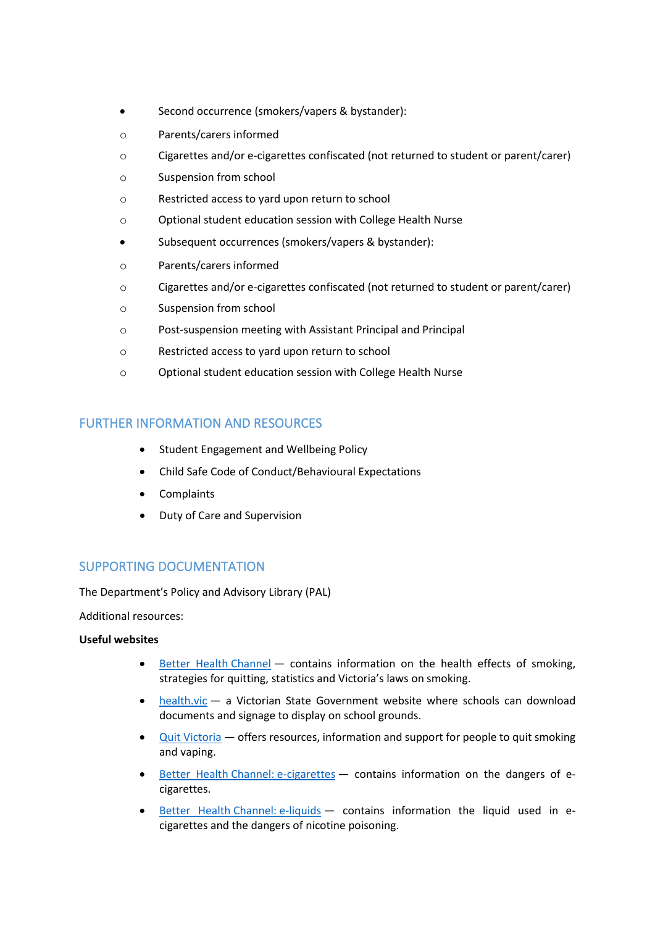- Second occurrence (smokers/vapers & bystander):
- o Parents/carers informed
- o Cigarettes and/or e-cigarettes confiscated (not returned to student or parent/carer)
- o Suspension from school
- o Restricted access to yard upon return to school
- o Optional student education session with College Health Nurse
- Subsequent occurrences (smokers/vapers & bystander):
- o Parents/carers informed
- o Cigarettes and/or e-cigarettes confiscated (not returned to student or parent/carer)
- o Suspension from school
- o Post-suspension meeting with Assistant Principal and Principal
- o Restricted access to yard upon return to school
- o Optional student education session with College Health Nurse

# FURTHER INFORMATION AND RESOURCES

- Student Engagement and Wellbeing Policy
- Child Safe Code of Conduct/Behavioural Expectations
- Complaints
- Duty of Care and Supervision

## SUPPORTING DOCUMENTATION

The Department's Policy and Advisory Library (PAL)

Additional resources:

#### **Useful websites**

- [Better Health](https://www.betterhealth.vic.gov.au/healthyliving/smoking-and-tobacco) Channel contains information on the health effects of smoking, strategies for quitting, statistics and Victoria's laws on smoking.
- [health.vic —](https://www2.health.vic.gov.au/public-health/tobacco-reform/resources-and-fact-sheets-tobacco-reform) a Victorian State Government website where schools can download documents and signage to display on school grounds.
- Quit [Victoria —](https://www.quit.org.au/) offers resources, information and support for people to quit smoking and vaping.
- Better Health [Channel: e-cigarettes](https://www.betterhealth.vic.gov.au/health/HealthyLiving/e-cigarettes)  contains information on the dangers of ecigarettes.
- Better Health [Channel: e-liquids](https://www.betterhealth.vic.gov.au/health/HealthyLiving/e-liquids-for-use-in-e-cigarettes)  contains information the liquid used in ecigarettes and the dangers of nicotine poisoning.